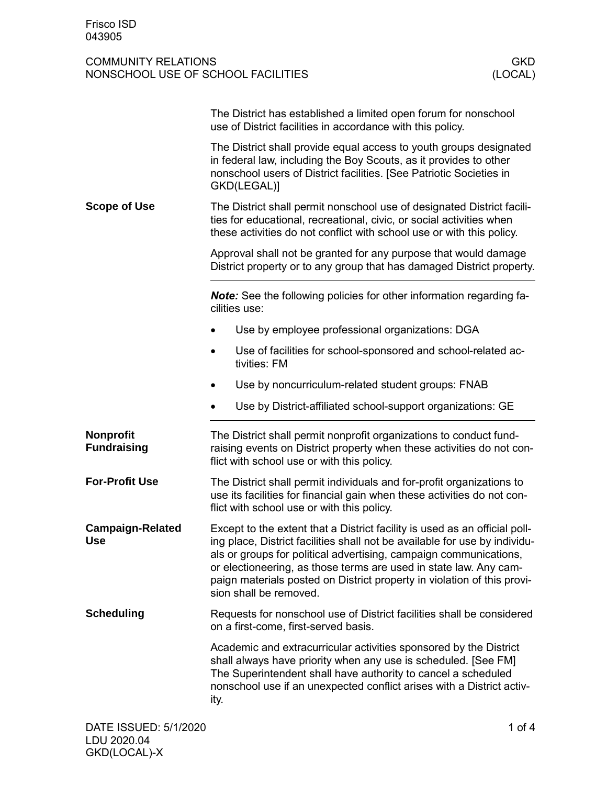## COMMUNITY RELATIONS<br>
NONSCHOOL USE OF SCHOOL FACILITIES<br>
(LOCAL) NONSCHOOL USE OF SCHOOL FACILITIES

|                                        | The District has established a limited open forum for nonschool<br>use of District facilities in accordance with this policy.                                                                                                                                                                                                                                                                           |  |  |  |
|----------------------------------------|---------------------------------------------------------------------------------------------------------------------------------------------------------------------------------------------------------------------------------------------------------------------------------------------------------------------------------------------------------------------------------------------------------|--|--|--|
|                                        | The District shall provide equal access to youth groups designated<br>in federal law, including the Boy Scouts, as it provides to other<br>nonschool users of District facilities. [See Patriotic Societies in<br>GKD(LEGAL)]                                                                                                                                                                           |  |  |  |
| <b>Scope of Use</b>                    | The District shall permit nonschool use of designated District facili-<br>ties for educational, recreational, civic, or social activities when<br>these activities do not conflict with school use or with this policy.                                                                                                                                                                                 |  |  |  |
|                                        | Approval shall not be granted for any purpose that would damage<br>District property or to any group that has damaged District property.                                                                                                                                                                                                                                                                |  |  |  |
|                                        | Note: See the following policies for other information regarding fa-<br>cilities use:                                                                                                                                                                                                                                                                                                                   |  |  |  |
|                                        | Use by employee professional organizations: DGA                                                                                                                                                                                                                                                                                                                                                         |  |  |  |
|                                        | Use of facilities for school-sponsored and school-related ac-<br>tivities: FM                                                                                                                                                                                                                                                                                                                           |  |  |  |
|                                        | Use by noncurriculum-related student groups: FNAB                                                                                                                                                                                                                                                                                                                                                       |  |  |  |
|                                        | Use by District-affiliated school-support organizations: GE<br>$\bullet$                                                                                                                                                                                                                                                                                                                                |  |  |  |
| <b>Nonprofit</b><br><b>Fundraising</b> | The District shall permit nonprofit organizations to conduct fund-<br>raising events on District property when these activities do not con-<br>flict with school use or with this policy.                                                                                                                                                                                                               |  |  |  |
| <b>For-Profit Use</b>                  | The District shall permit individuals and for-profit organizations to<br>use its facilities for financial gain when these activities do not con-<br>flict with school use or with this policy.                                                                                                                                                                                                          |  |  |  |
| <b>Campaign-Related</b><br><b>Use</b>  | Except to the extent that a District facility is used as an official poll-<br>ing place, District facilities shall not be available for use by individu-<br>als or groups for political advertising, campaign communications,<br>or electioneering, as those terms are used in state law. Any cam-<br>paign materials posted on District property in violation of this provi-<br>sion shall be removed. |  |  |  |
| <b>Scheduling</b>                      | Requests for nonschool use of District facilities shall be considered<br>on a first-come, first-served basis.                                                                                                                                                                                                                                                                                           |  |  |  |
|                                        | Academic and extracurricular activities sponsored by the District<br>shall always have priority when any use is scheduled. [See FM]<br>The Superintendent shall have authority to cancel a scheduled<br>nonschool use if an unexpected conflict arises with a District activ-<br>ity.                                                                                                                   |  |  |  |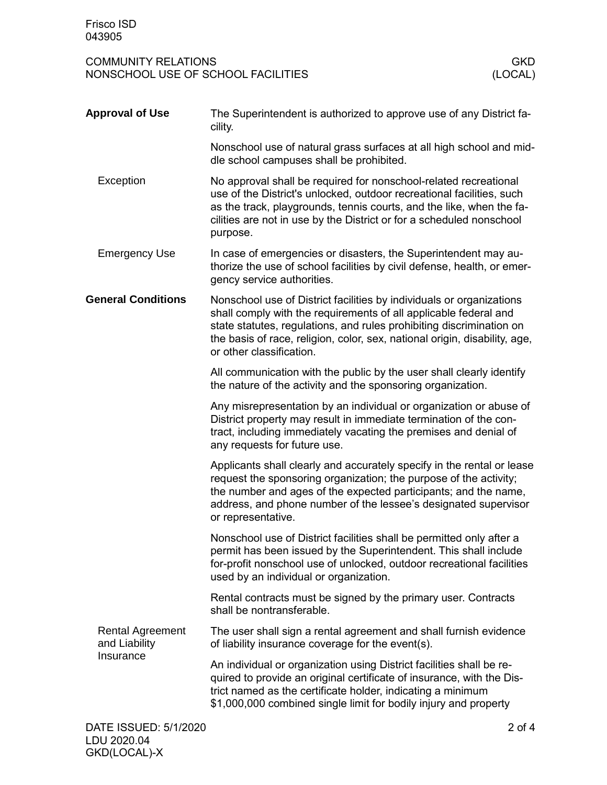COMMUNITY RELATIONS<br>
NONSCHOOL USE OF SCHOOL FACILITIES<br>
(LOCAL) NONSCHOOL USE OF SCHOOL FACILITIES

| <b>Approval of Use</b>                                | The Superintendent is authorized to approve use of any District fa-<br>cility.                                                                                                                                                                                                                                             |
|-------------------------------------------------------|----------------------------------------------------------------------------------------------------------------------------------------------------------------------------------------------------------------------------------------------------------------------------------------------------------------------------|
|                                                       | Nonschool use of natural grass surfaces at all high school and mid-<br>dle school campuses shall be prohibited.                                                                                                                                                                                                            |
| Exception                                             | No approval shall be required for nonschool-related recreational<br>use of the District's unlocked, outdoor recreational facilities, such<br>as the track, playgrounds, tennis courts, and the like, when the fa-<br>cilities are not in use by the District or for a scheduled nonschool<br>purpose.                      |
| <b>Emergency Use</b>                                  | In case of emergencies or disasters, the Superintendent may au-<br>thorize the use of school facilities by civil defense, health, or emer-<br>gency service authorities.                                                                                                                                                   |
| <b>General Conditions</b>                             | Nonschool use of District facilities by individuals or organizations<br>shall comply with the requirements of all applicable federal and<br>state statutes, regulations, and rules prohibiting discrimination on<br>the basis of race, religion, color, sex, national origin, disability, age,<br>or other classification. |
|                                                       | All communication with the public by the user shall clearly identify<br>the nature of the activity and the sponsoring organization.                                                                                                                                                                                        |
|                                                       | Any misrepresentation by an individual or organization or abuse of<br>District property may result in immediate termination of the con-<br>tract, including immediately vacating the premises and denial of<br>any requests for future use.                                                                                |
|                                                       | Applicants shall clearly and accurately specify in the rental or lease<br>request the sponsoring organization; the purpose of the activity;<br>the number and ages of the expected participants; and the name,<br>address, and phone number of the lessee's designated supervisor<br>or representative.                    |
|                                                       | Nonschool use of District facilities shall be permitted only after a<br>permit has been issued by the Superintendent. This shall include<br>for-profit nonschool use of unlocked, outdoor recreational facilities<br>used by an individual or organization.                                                                |
|                                                       | Rental contracts must be signed by the primary user. Contracts<br>shall be nontransferable.                                                                                                                                                                                                                                |
| <b>Rental Agreement</b><br>and Liability<br>Insurance | The user shall sign a rental agreement and shall furnish evidence<br>of liability insurance coverage for the event(s).                                                                                                                                                                                                     |
|                                                       | An individual or organization using District facilities shall be re-<br>quired to provide an original certificate of insurance, with the Dis-<br>trict named as the certificate holder, indicating a minimum<br>\$1,000,000 combined single limit for bodily injury and property                                           |
| DATE ISSUED: 5/1/2020                                 | $2$ of 4                                                                                                                                                                                                                                                                                                                   |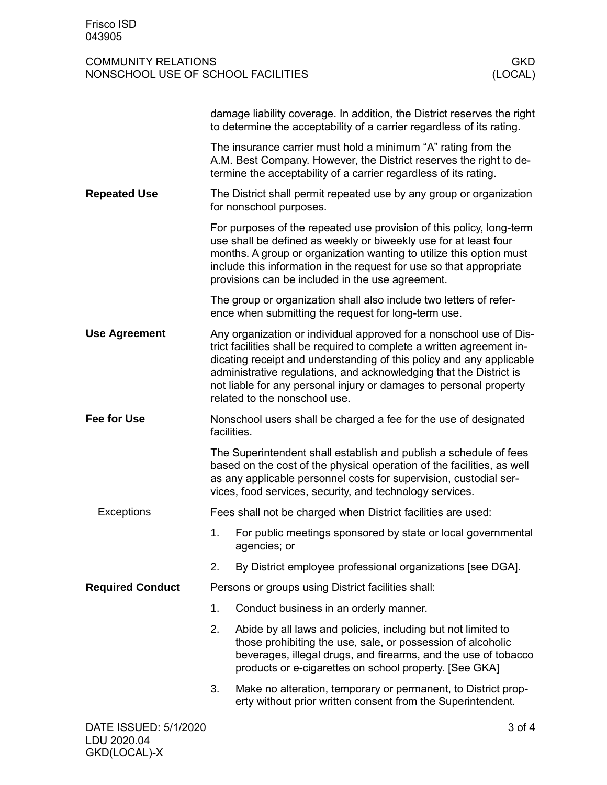GKD(LOCAL)-X

## COMMUNITY RELATIONS<br>
NONSCHOOL USE OF SCHOOL FACILITIES<br>
(LOCAL) NONSCHOOL USE OF SCHOOL FACILITIES

|                                      | damage liability coverage. In addition, the District reserves the right<br>to determine the acceptability of a carrier regardless of its rating.                                                                                                                                                                                                                                                   |                                                                                                                                                                                                                                                                                                                                            |  |  |
|--------------------------------------|----------------------------------------------------------------------------------------------------------------------------------------------------------------------------------------------------------------------------------------------------------------------------------------------------------------------------------------------------------------------------------------------------|--------------------------------------------------------------------------------------------------------------------------------------------------------------------------------------------------------------------------------------------------------------------------------------------------------------------------------------------|--|--|
| <b>Repeated Use</b>                  | The insurance carrier must hold a minimum "A" rating from the<br>A.M. Best Company. However, the District reserves the right to de-<br>termine the acceptability of a carrier regardless of its rating.                                                                                                                                                                                            |                                                                                                                                                                                                                                                                                                                                            |  |  |
|                                      | The District shall permit repeated use by any group or organization<br>for nonschool purposes.                                                                                                                                                                                                                                                                                                     |                                                                                                                                                                                                                                                                                                                                            |  |  |
|                                      |                                                                                                                                                                                                                                                                                                                                                                                                    | For purposes of the repeated use provision of this policy, long-term<br>use shall be defined as weekly or biweekly use for at least four<br>months. A group or organization wanting to utilize this option must<br>include this information in the request for use so that appropriate<br>provisions can be included in the use agreement. |  |  |
|                                      |                                                                                                                                                                                                                                                                                                                                                                                                    | The group or organization shall also include two letters of refer-<br>ence when submitting the request for long-term use.                                                                                                                                                                                                                  |  |  |
| <b>Use Agreement</b>                 | Any organization or individual approved for a nonschool use of Dis-<br>trict facilities shall be required to complete a written agreement in-<br>dicating receipt and understanding of this policy and any applicable<br>administrative regulations, and acknowledging that the District is<br>not liable for any personal injury or damages to personal property<br>related to the nonschool use. |                                                                                                                                                                                                                                                                                                                                            |  |  |
| <b>Fee for Use</b>                   | Nonschool users shall be charged a fee for the use of designated<br>facilities.                                                                                                                                                                                                                                                                                                                    |                                                                                                                                                                                                                                                                                                                                            |  |  |
|                                      | The Superintendent shall establish and publish a schedule of fees<br>based on the cost of the physical operation of the facilities, as well<br>as any applicable personnel costs for supervision, custodial ser-<br>vices, food services, security, and technology services.                                                                                                                       |                                                                                                                                                                                                                                                                                                                                            |  |  |
| Exceptions                           |                                                                                                                                                                                                                                                                                                                                                                                                    | Fees shall not be charged when District facilities are used:                                                                                                                                                                                                                                                                               |  |  |
|                                      | 1.                                                                                                                                                                                                                                                                                                                                                                                                 | For public meetings sponsored by state or local governmental<br>agencies; or                                                                                                                                                                                                                                                               |  |  |
|                                      | 2.                                                                                                                                                                                                                                                                                                                                                                                                 | By District employee professional organizations [see DGA].                                                                                                                                                                                                                                                                                 |  |  |
| <b>Required Conduct</b>              | Persons or groups using District facilities shall:                                                                                                                                                                                                                                                                                                                                                 |                                                                                                                                                                                                                                                                                                                                            |  |  |
|                                      | 1.                                                                                                                                                                                                                                                                                                                                                                                                 | Conduct business in an orderly manner.                                                                                                                                                                                                                                                                                                     |  |  |
|                                      | 2.                                                                                                                                                                                                                                                                                                                                                                                                 | Abide by all laws and policies, including but not limited to<br>those prohibiting the use, sale, or possession of alcoholic<br>beverages, illegal drugs, and firearms, and the use of tobacco<br>products or e-cigarettes on school property. [See GKA]                                                                                    |  |  |
|                                      | 3.                                                                                                                                                                                                                                                                                                                                                                                                 | Make no alteration, temporary or permanent, to District prop-<br>erty without prior written consent from the Superintendent.                                                                                                                                                                                                               |  |  |
| DATE ISSUED: 5/1/2020<br>LDU 2020.04 |                                                                                                                                                                                                                                                                                                                                                                                                    | 3 of 4                                                                                                                                                                                                                                                                                                                                     |  |  |